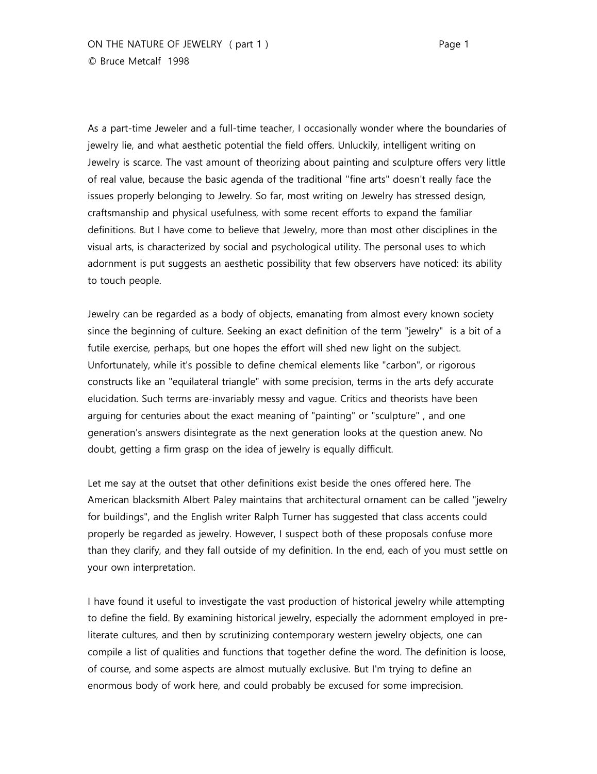As a part-time Jeweler and a full-time teacher, I occasionally wonder where the boundaries of jewelry lie, and what aesthetic potential the field offers. Unluckily, intelligent writing on Jewelry is scarce. The vast amount of theorizing about painting and sculpture offers very little of real value, because the basic agenda of the traditional ''fine arts" doesn't really face the issues properly belonging to Jewelry. So far, most writing on Jewelry has stressed design, craftsmanship and physical usefulness, with some recent efforts to expand the familiar definitions. But I have come to believe that Jewelry, more than most other disciplines in the visual arts, is characterized by social and psychological utility. The personal uses to which adornment is put suggests an aesthetic possibility that few observers have noticed: its ability to touch people.

Jewelry can be regarded as a body of objects, emanating from almost every known society since the beginning of culture. Seeking an exact definition of the term "jewelry" is a bit of a futile exercise, perhaps, but one hopes the effort will shed new light on the subject. Unfortunately, while it's possible to define chemical elements like "carbon", or rigorous constructs like an "equilateral triangle" with some precision, terms in the arts defy accurate elucidation. Such terms are-invariably messy and vague. Critics and theorists have been arguing for centuries about the exact meaning of "painting" or "sculpture" , and one generation's answers disintegrate as the next generation looks at the question anew. No doubt, getting a firm grasp on the idea of jewelry is equally difficult.

Let me say at the outset that other definitions exist beside the ones offered here. The American blacksmith Albert Paley maintains that architectural ornament can be called "jewelry for buildings", and the English writer Ralph Turner has suggested that class accents could properly be regarded as jewelry. However, I suspect both of these proposals confuse more than they clarify, and they fall outside of my definition. In the end, each of you must settle on your own interpretation.

I have found it useful to investigate the vast production of historical jewelry while attempting to define the field. By examining historical jewelry, especially the adornment employed in preliterate cultures, and then by scrutinizing contemporary western jewelry objects, one can compile a list of qualities and functions that together define the word. The definition is loose, of course, and some aspects are almost mutually exclusive. But I'm trying to define an enormous body of work here, and could probably be excused for some imprecision.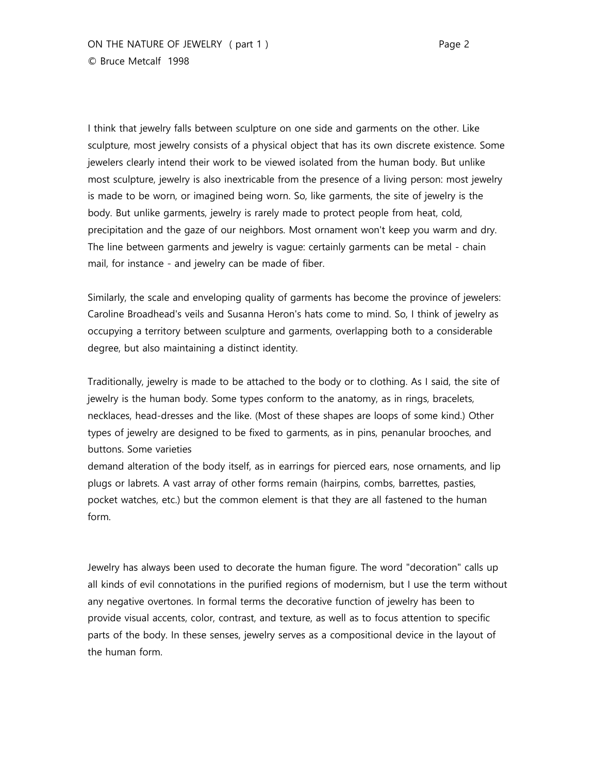I think that jewelry falls between sculpture on one side and garments on the other. Like sculpture, most jewelry consists of a physical object that has its own discrete existence. Some jewelers clearly intend their work to be viewed isolated from the human body. But unlike most sculpture, jewelry is also inextricable from the presence of a living person: most jewelry is made to be worn, or imagined being worn. So, like garments, the site of jewelry is the body. But unlike garments, jewelry is rarely made to protect people from heat, cold, precipitation and the gaze of our neighbors. Most ornament won't keep you warm and dry. The line between garments and jewelry is vague: certainly garments can be metal - chain mail, for instance - and jewelry can be made of fiber.

Similarly, the scale and enveloping quality of garments has become the province of jewelers: Caroline Broadhead's veils and Susanna Heron's hats come to mind. So, I think of jewelry as occupying a territory between sculpture and garments, overlapping both to a considerable degree, but also maintaining a distinct identity.

Traditionally, jewelry is made to be attached to the body or to clothing. As I said, the site of jewelry is the human body. Some types conform to the anatomy, as in rings, bracelets, necklaces, head-dresses and the like. (Most of these shapes are loops of some kind.) Other types of jewelry are designed to be fixed to garments, as in pins, penanular brooches, and buttons. Some varieties

demand alteration of the body itself, as in earrings for pierced ears, nose ornaments, and lip plugs or labrets. A vast array of other forms remain (hairpins, combs, barrettes, pasties, pocket watches, etc.) but the common element is that they are all fastened to the human form.

Jewelry has always been used to decorate the human figure. The word "decoration" calls up all kinds of evil connotations in the purified regions of modernism, but I use the term without any negative overtones. In formal terms the decorative function of jewelry has been to provide visual accents, color, contrast, and texture, as well as to focus attention to specific parts of the body. In these senses, jewelry serves as a compositional device in the layout of the human form.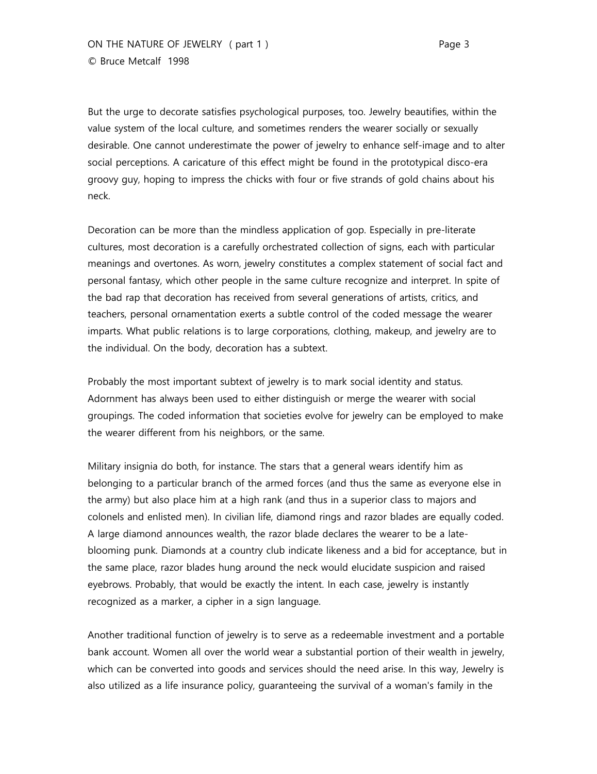But the urge to decorate satisfies psychological purposes, too. Jewelry beautifies, within the value system of the local culture, and sometimes renders the wearer socially or sexually desirable. One cannot underestimate the power of jewelry to enhance self-image and to alter social perceptions. A caricature of this effect might be found in the prototypical disco-era groovy guy, hoping to impress the chicks with four or five strands of gold chains about his neck.

Decoration can be more than the mindless application of gop. Especially in pre-literate cultures, most decoration is a carefully orchestrated collection of signs, each with particular meanings and overtones. As worn, jewelry constitutes a complex statement of social fact and personal fantasy, which other people in the same culture recognize and interpret. In spite of the bad rap that decoration has received from several generations of artists, critics, and teachers, personal ornamentation exerts a subtle control of the coded message the wearer imparts. What public relations is to large corporations, clothing, makeup, and jewelry are to the individual. On the body, decoration has a subtext.

Probably the most important subtext of jewelry is to mark social identity and status. Adornment has always been used to either distinguish or merge the wearer with social groupings. The coded information that societies evolve for jewelry can be employed to make the wearer different from his neighbors, or the same.

Military insignia do both, for instance. The stars that a general wears identify him as belonging to a particular branch of the armed forces (and thus the same as everyone else in the army) but also place him at a high rank (and thus in a superior class to majors and colonels and enlisted men). In civilian life, diamond rings and razor blades are equally coded. A large diamond announces wealth, the razor blade declares the wearer to be a lateblooming punk. Diamonds at a country club indicate likeness and a bid for acceptance, but in the same place, razor blades hung around the neck would elucidate suspicion and raised eyebrows. Probably, that would be exactly the intent. In each case, jewelry is instantly recognized as a marker, a cipher in a sign language.

Another traditional function of jewelry is to serve as a redeemable investment and a portable bank account. Women all over the world wear a substantial portion of their wealth in jewelry, which can be converted into goods and services should the need arise. In this way, Jewelry is also utilized as a life insurance policy, guaranteeing the survival of a woman's family in the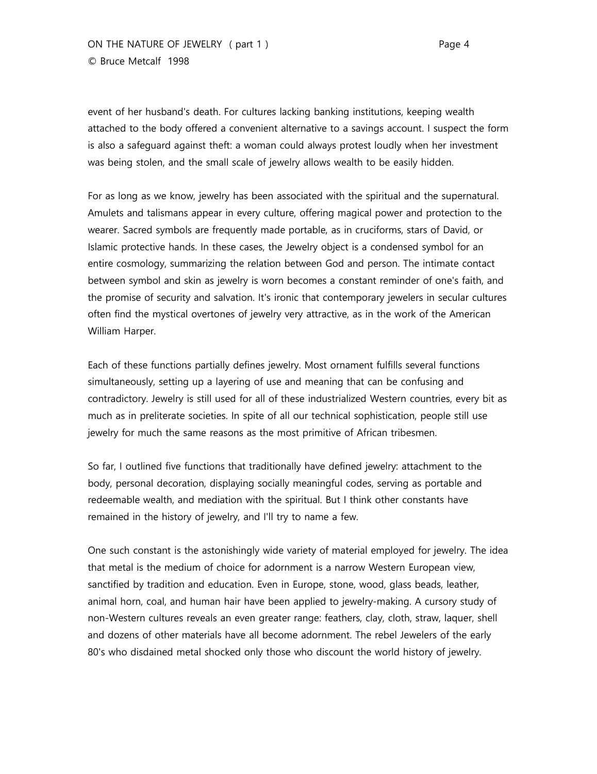event of her husband's death. For cultures lacking banking institutions, keeping wealth attached to the body offered a convenient alternative to a savings account. I suspect the form is also a safeguard against theft: a woman could always protest loudly when her investment was being stolen, and the small scale of jewelry allows wealth to be easily hidden.

For as long as we know, jewelry has been associated with the spiritual and the supernatural. Amulets and talismans appear in every culture, offering magical power and protection to the wearer. Sacred symbols are frequently made portable, as in cruciforms, stars of David, or Islamic protective hands. In these cases, the Jewelry object is a condensed symbol for an entire cosmology, summarizing the relation between God and person. The intimate contact between symbol and skin as jewelry is worn becomes a constant reminder of one's faith, and the promise of security and salvation. It's ironic that contemporary jewelers in secular cultures often find the mystical overtones of jewelry very attractive, as in the work of the American William Harper.

Each of these functions partially defines jewelry. Most ornament fulfills several functions simultaneously, setting up a layering of use and meaning that can be confusing and contradictory. Jewelry is still used for all of these industrialized Western countries, every bit as much as in preliterate societies. In spite of all our technical sophistication, people still use jewelry for much the same reasons as the most primitive of African tribesmen.

So far, I outlined five functions that traditionally have defined jewelry: attachment to the body, personal decoration, displaying socially meaningful codes, serving as portable and redeemable wealth, and mediation with the spiritual. But I think other constants have remained in the history of jewelry, and I'll try to name a few.

One such constant is the astonishingly wide variety of material employed for jewelry. The idea that metal is the medium of choice for adornment is a narrow Western European view, sanctified by tradition and education. Even in Europe, stone, wood, glass beads, leather, animal horn, coal, and human hair have been applied to jewelry-making. A cursory study of non-Western cultures reveals an even greater range: feathers, clay, cloth, straw, laquer, shell and dozens of other materials have all become adornment. The rebel Jewelers of the early 80's who disdained metal shocked only those who discount the world history of jewelry.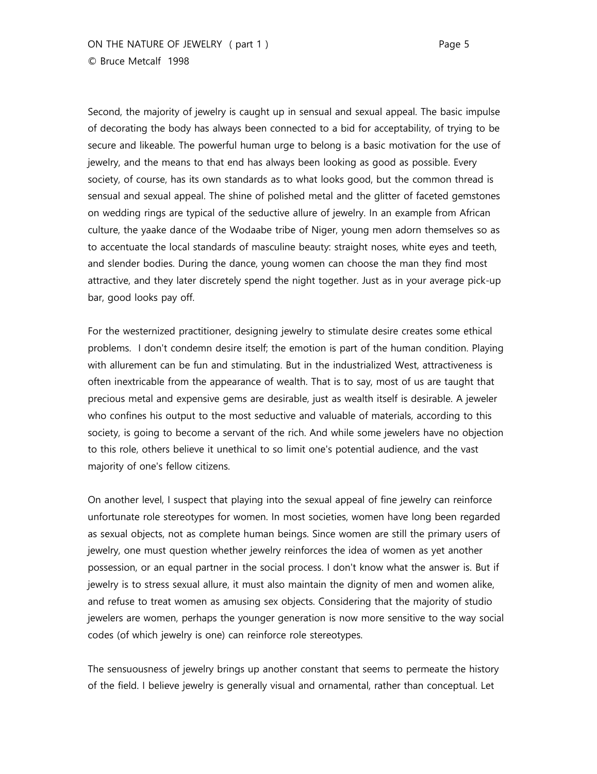Second, the majority of jewelry is caught up in sensual and sexual appeal. The basic impulse of decorating the body has always been connected to a bid for acceptability, of trying to be secure and likeable. The powerful human urge to belong is a basic motivation for the use of jewelry, and the means to that end has always been looking as good as possible. Every society, of course, has its own standards as to what looks good, but the common thread is sensual and sexual appeal. The shine of polished metal and the glitter of faceted gemstones on wedding rings are typical of the seductive allure of jewelry. In an example from African culture, the yaake dance of the Wodaabe tribe of Niger, young men adorn themselves so as to accentuate the local standards of masculine beauty: straight noses, white eyes and teeth, and slender bodies. During the dance, young women can choose the man they find most attractive, and they later discretely spend the night together. Just as in your average pick-up bar, good looks pay off.

For the westernized practitioner, designing jewelry to stimulate desire creates some ethical problems. I don't condemn desire itself; the emotion is part of the human condition. Playing with allurement can be fun and stimulating. But in the industrialized West, attractiveness is often inextricable from the appearance of wealth. That is to say, most of us are taught that precious metal and expensive gems are desirable, just as wealth itself is desirable. A jeweler who confines his output to the most seductive and valuable of materials, according to this society, is going to become a servant of the rich. And while some jewelers have no objection to this role, others believe it unethical to so limit one's potential audience, and the vast majority of one's fellow citizens.

On another level, I suspect that playing into the sexual appeal of fine jewelry can reinforce unfortunate role stereotypes for women. In most societies, women have long been regarded as sexual objects, not as complete human beings. Since women are still the primary users of jewelry, one must question whether jewelry reinforces the idea of women as yet another possession, or an equal partner in the social process. I don't know what the answer is. But if jewelry is to stress sexual allure, it must also maintain the dignity of men and women alike, and refuse to treat women as amusing sex objects. Considering that the majority of studio jewelers are women, perhaps the younger generation is now more sensitive to the way social codes (of which jewelry is one) can reinforce role stereotypes.

The sensuousness of jewelry brings up another constant that seems to permeate the history of the field. I believe jewelry is generally visual and ornamental, rather than conceptual. Let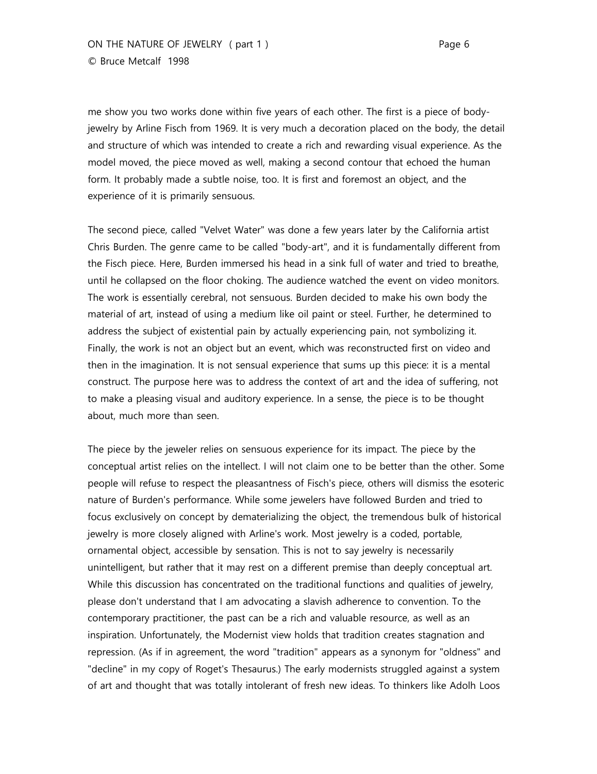me show you two works done within five years of each other. The first is a piece of bodyjewelry by Arline Fisch from 1969. It is very much a decoration placed on the body, the detail and structure of which was intended to create a rich and rewarding visual experience. As the model moved, the piece moved as well, making a second contour that echoed the human form. It probably made a subtle noise, too. It is first and foremost an object, and the experience of it is primarily sensuous.

The second piece, called "Velvet Water" was done a few years later by the California artist Chris Burden. The genre came to be called "body-art", and it is fundamentally different from the Fisch piece. Here, Burden immersed his head in a sink full of water and tried to breathe, until he collapsed on the floor choking. The audience watched the event on video monitors. The work is essentially cerebral, not sensuous. Burden decided to make his own body the material of art, instead of using a medium like oil paint or steel. Further, he determined to address the subject of existential pain by actually experiencing pain, not symbolizing it. Finally, the work is not an object but an event, which was reconstructed first on video and then in the imagination. It is not sensual experience that sums up this piece: it is a mental construct. The purpose here was to address the context of art and the idea of suffering, not to make a pleasing visual and auditory experience. In a sense, the piece is to be thought about, much more than seen.

The piece by the jeweler relies on sensuous experience for its impact. The piece by the conceptual artist relies on the intellect. I will not claim one to be better than the other. Some people will refuse to respect the pleasantness of Fisch's piece, others will dismiss the esoteric nature of Burden's performance. While some jewelers have followed Burden and tried to focus exclusively on concept by dematerializing the object, the tremendous bulk of historical jewelry is more closely aligned with Arline's work. Most jewelry is a coded, portable, ornamental object, accessible by sensation. This is not to say jewelry is necessarily unintelligent, but rather that it may rest on a different premise than deeply conceptual art. While this discussion has concentrated on the traditional functions and qualities of jewelry, please don't understand that I am advocating a slavish adherence to convention. To the contemporary practitioner, the past can be a rich and valuable resource, as well as an inspiration. Unfortunately, the Modernist view holds that tradition creates stagnation and repression. (As if in agreement, the word "tradition" appears as a synonym for "oldness" and "decline" in my copy of Roget's Thesaurus.) The early modernists struggled against a system of art and thought that was totally intolerant of fresh new ideas. To thinkers like Adolh Loos